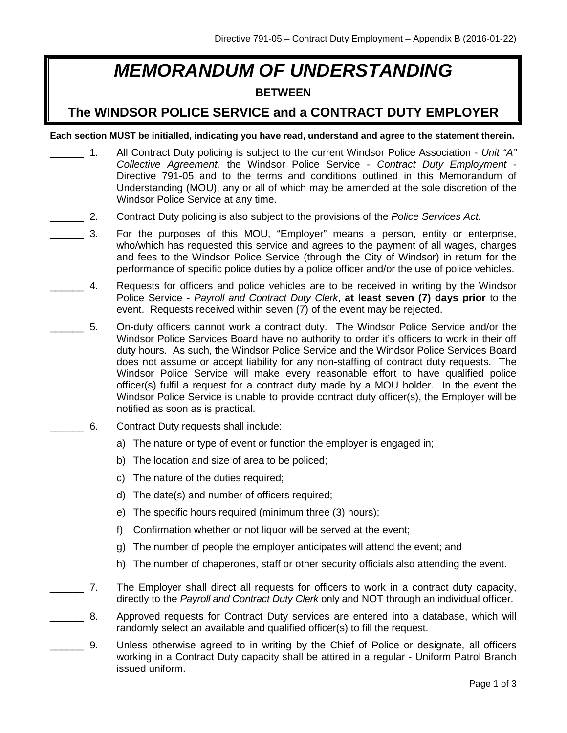## *MEMORANDUM OF UNDERSTANDING*

## **BETWEEN**

## **The WINDSOR POLICE SERVICE and a CONTRACT DUTY EMPLOYER**

**Each section MUST be initialled, indicating you have read, understand and agree to the statement therein.**

- \_\_\_\_\_\_ 1. All Contract Duty policing is subject to the current Windsor Police Association *Unit "A" Collective Agreement,* the Windsor Police Service - *Contract Duty Employment* - Directive 791-05 and to the terms and conditions outlined in this Memorandum of Understanding (MOU), any or all of which may be amended at the sole discretion of the Windsor Police Service at any time.
- \_\_\_\_\_\_ 2. Contract Duty policing is also subject to the provisions of the *Police Services Act.*
- \_\_\_\_\_\_ 3. For the purposes of this MOU, "Employer" means a person, entity or enterprise, who/which has requested this service and agrees to the payment of all wages, charges and fees to the Windsor Police Service (through the City of Windsor) in return for the performance of specific police duties by a police officer and/or the use of police vehicles.
	- 4. Requests for officers and police vehicles are to be received in writing by the Windsor Police Service - *Payroll and Contract Duty Clerk*, **at least seven (7) days prior** to the event. Requests received within seven (7) of the event may be rejected.
- \_\_\_\_\_\_ 5. On-duty officers cannot work a contract duty. The Windsor Police Service and/or the Windsor Police Services Board have no authority to order it's officers to work in their off duty hours. As such, the Windsor Police Service and the Windsor Police Services Board does not assume or accept liability for any non-staffing of contract duty requests. The Windsor Police Service will make every reasonable effort to have qualified police officer(s) fulfil a request for a contract duty made by a MOU holder. In the event the Windsor Police Service is unable to provide contract duty officer(s), the Employer will be notified as soon as is practical.
	- \_\_\_\_\_\_ 6. Contract Duty requests shall include:
		- a) The nature or type of event or function the employer is engaged in;
		- b) The location and size of area to be policed;
		- c) The nature of the duties required;
		- d) The date(s) and number of officers required;
		- e) The specific hours required (minimum three (3) hours);
		- f) Confirmation whether or not liquor will be served at the event;
		- g) The number of people the employer anticipates will attend the event; and
		- h) The number of chaperones, staff or other security officials also attending the event.
- \_\_\_\_\_\_ 7. The Employer shall direct all requests for officers to work in a contract duty capacity, directly to the *Payroll and Contract Duty Clerk* only and NOT through an individual officer.
- \_\_\_\_\_\_ 8. Approved requests for Contract Duty services are entered into a database, which will randomly select an available and qualified officer(s) to fill the request.
- \_\_\_\_\_\_ 9. Unless otherwise agreed to in writing by the Chief of Police or designate, all officers working in a Contract Duty capacity shall be attired in a regular - Uniform Patrol Branch issued uniform.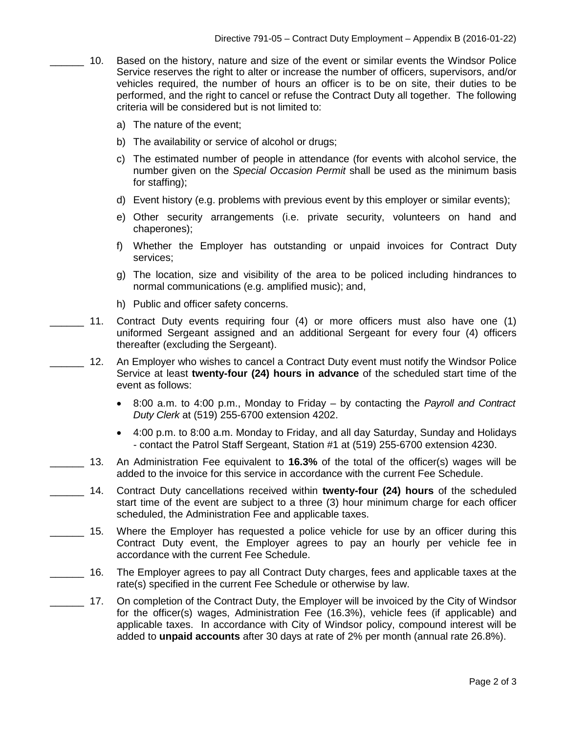- 10. Based on the history, nature and size of the event or similar events the Windsor Police Service reserves the right to alter or increase the number of officers, supervisors, and/or vehicles required, the number of hours an officer is to be on site, their duties to be performed, and the right to cancel or refuse the Contract Duty all together. The following criteria will be considered but is not limited to:
	- a) The nature of the event;
	- b) The availability or service of alcohol or drugs;
	- c) The estimated number of people in attendance (for events with alcohol service, the number given on the *Special Occasion Permit* shall be used as the minimum basis for staffing);
	- d) Event history (e.g. problems with previous event by this employer or similar events);
	- e) Other security arrangements (i.e. private security, volunteers on hand and chaperones);
	- f) Whether the Employer has outstanding or unpaid invoices for Contract Duty services;
	- g) The location, size and visibility of the area to be policed including hindrances to normal communications (e.g. amplified music); and,
	- h) Public and officer safety concerns.
- 11. Contract Duty events requiring four (4) or more officers must also have one (1) uniformed Sergeant assigned and an additional Sergeant for every four (4) officers thereafter (excluding the Sergeant).
	- 12. An Employer who wishes to cancel a Contract Duty event must notify the Windsor Police Service at least **twenty-four (24) hours in advance** of the scheduled start time of the event as follows:
		- 8:00 a.m. to 4:00 p.m., Monday to Friday by contacting the *Payroll and Contract Duty Clerk* at (519) 255-6700 extension 4202.
		- 4:00 p.m. to 8:00 a.m. Monday to Friday, and all day Saturday, Sunday and Holidays - contact the Patrol Staff Sergeant, Station #1 at (519) 255-6700 extension 4230.
- \_\_\_\_\_\_ 13. An Administration Fee equivalent to **16.3%** of the total of the officer(s) wages will be added to the invoice for this service in accordance with the current Fee Schedule.
- \_\_\_\_\_\_ 14. Contract Duty cancellations received within **twenty-four (24) hours** of the scheduled start time of the event are subject to a three (3) hour minimum charge for each officer scheduled, the Administration Fee and applicable taxes.
	- \_\_\_\_\_\_ 15. Where the Employer has requested a police vehicle for use by an officer during this Contract Duty event, the Employer agrees to pay an hourly per vehicle fee in accordance with the current Fee Schedule.
- 16. The Employer agrees to pay all Contract Duty charges, fees and applicable taxes at the rate(s) specified in the current Fee Schedule or otherwise by law.
	- 17. On completion of the Contract Duty, the Employer will be invoiced by the City of Windsor for the officer(s) wages, Administration Fee (16.3%), vehicle fees (if applicable) and applicable taxes. In accordance with City of Windsor policy, compound interest will be added to **unpaid accounts** after 30 days at rate of 2% per month (annual rate 26.8%).